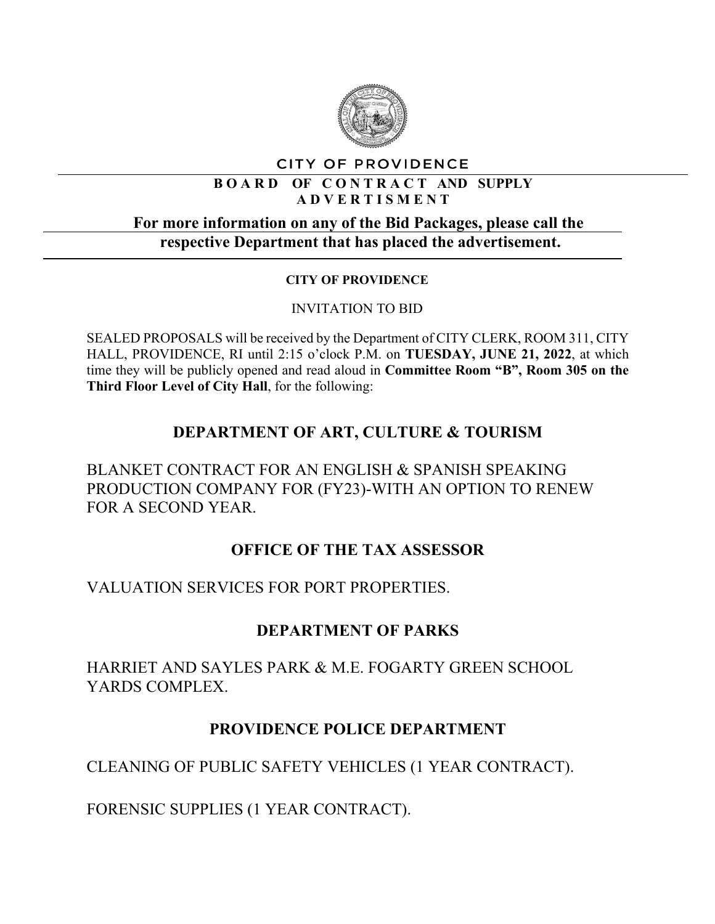

#### CITY OF PROVIDENCE

#### **B O A R D OF C O N T R A C T AND SUPPLY A D V E R T I S M E N T**

#### **For more information on any of the Bid Packages, please call the respective Department that has placed the advertisement.**

#### **CITY OF PROVIDENCE**

#### INVITATION TO BID

SEALED PROPOSALS will be received by the Department of CITY CLERK, ROOM 311, CITY HALL, PROVIDENCE, RI until 2:15 o'clock P.M. on **TUESDAY, JUNE 21, 2022**, at which time they will be publicly opened and read aloud in **Committee Room "B", Room 305 on the Third Floor Level of City Hall**, for the following:

# **DEPARTMENT OF ART, CULTURE & TOURISM**

BLANKET CONTRACT FOR AN ENGLISH & SPANISH SPEAKING PRODUCTION COMPANY FOR (FY23)-WITH AN OPTION TO RENEW FOR A SECOND YEAR.

### **OFFICE OF THE TAX ASSESSOR**

VALUATION SERVICES FOR PORT PROPERTIES.

## **DEPARTMENT OF PARKS**

HARRIET AND SAYLES PARK & M.E. FOGARTY GREEN SCHOOL YARDS COMPLEX.

## **PROVIDENCE POLICE DEPARTMENT**

CLEANING OF PUBLIC SAFETY VEHICLES (1 YEAR CONTRACT).

FORENSIC SUPPLIES (1 YEAR CONTRACT).